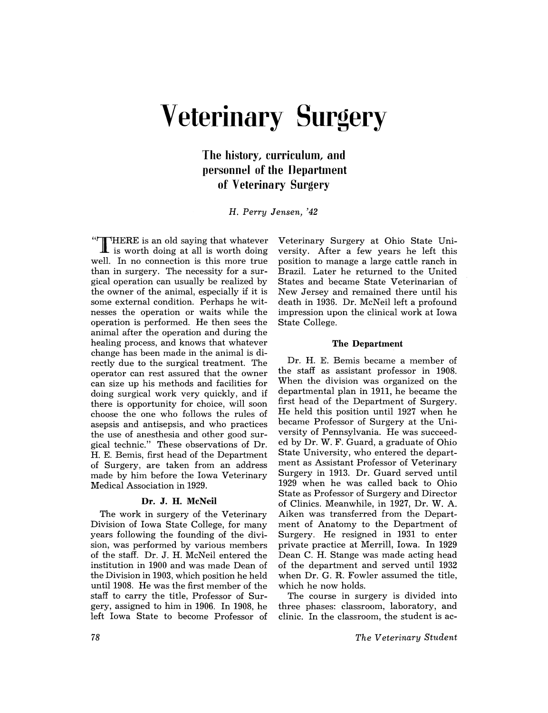# **Veterinary Surgery**

The history, curriculum, and personnel of the Department of Veterinary Surgery

H. *Perry Jensen, '42* 

"THERE is an old saying that whatever is worth doing at all is worth doing well. In no connection is this more true than in surgery. The necessity for a surgical operation can usually be realized by the owner of the animal, especially if it is some external condition. Perhaps he witnesses the operation or waits while the operation is performed. He then sees the animal after the operation and during the healing process, and knows that whatever change has been made in the animal is directly due to the surgical treatment. The operator can rest assured that the owner can size up his methods and facilities for doing surgical work very quickly, and if there is opportunity for choice, will soon choose the one who follows the rules of asepsis and antisepsis, and who practices the use of anesthesia and other good surgical technic." These observations of Dr. H. E. Bemis, first head of the Department of Surgery, are taken from an address made by him before the Iowa Veterinary Medical Association in 1929.

#### Dr. J. H. McNeil

The work in surgery of the Veterinary Division of Iowa State College, for many years following the founding of the division, was performed by various members of the staff. Dr. J. H. McNeil entered the institution in 1900 and was made Dean of the Division in 1903, which position he held until 1908. He was the first member of the staff to carry the title, Professor of Surgery, assigned to him in 1906. In 1908, he left Iowa State to become Professor of

Veterinary Surgery at Ohio State University. After a few years he left this position to manage a large cattle ranch in Brazil. Later he returned to the United States and became State Veterinarian of New Jersey and remained there until his death in 1936. Dr. McNeil left a profound impression upon the clinical work at Iowa State College.

#### The Department

Dr. H. E. Bemis became a member of the staff as assistant professor in 1908. When the division was organized on the departmental plan in 1911, he became the first head of the Department of Surgery. He held this position until 1927 when he became Professor of Surgery at the University of Pennsylvania. He was succeeded by Dr. W. F. Guard, a graduate of Ohio State University, who entered the department as Assistant Professor of Veterinary Surgery in 1913. Dr. Guard served until 1929 when he was called back to Ohio State as Professor of Surgery and Director of Clinics. Meanwhile, in 1927, Dr. W. A. Aiken was transferred from the Department of Anatomy to the Department of Surgery. He resigned in 1931 to enter private practice at Merrill, Iowa. In 1929 Dean C. H. Stange was made acting head of the department and served until 1932 when Dr. G. R. Fowler assumed the title, which he now holds.

The course in surgery is divided into three phases: classroom, laboratory, and clinic. In the classroom, the student is ac-

*The Veterinary Student*